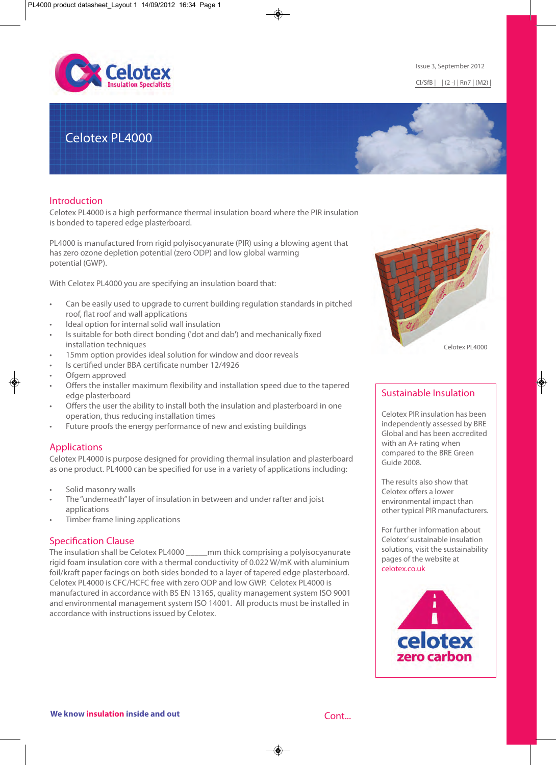

# Celotex PL4000

# Introduction

Celotex PL4000 is a high performance thermal insulation board where the PIR insulation is bonded to tapered edge plasterboard.

PL4000 is manufactured from rigid polyisocyanurate (PIR) using a blowing agent that has zero ozone depletion potential (zero ODP) and low global warming potential (GWP).

With Celotex PL4000 you are specifying an insulation board that:

- Can be easily used to upgrade to current building regulation standards in pitched roof, flat roof and wall applications
- Ideal option for internal solid wall insulation
- Is suitable for both direct bonding ('dot and dab') and mechanically fixed installation techniques
- 15mm option provides ideal solution for window and door reveals
- Is certified under BBA certificate number 12/4926
- Ofgem approved
- Offers the installer maximum flexibility and installation speed due to the tapered edge plasterboard
- Offers the user the ability to install both the insulation and plasterboard in one operation, thus reducing installation times
- Future proofs the energy performance of new and existing buildings

# Applications

Celotex PL4000 is purpose designed for providing thermal insulation and plasterboard as one product. PL4000 can be specified for use in a variety of applications including:

- Solid masonry walls
- The "underneath" layer of insulation in between and under rafter and joist applications
- Timber frame lining applications

#### Specification Clause

The insulation shall be Celotex PL4000 \_\_\_\_\_mm thick comprising a polyisocyanurate rigid foam insulation core with a thermal conductivity of 0.022 W/mK with aluminium foil/kraft paper facings on both sides bonded to a layer of tapered edge plasterboard. Celotex PL4000 is CFC/HCFC free with zero ODP and low GWP. Celotex PL4000 is manufactured in accordance with BS EN 13165, quality management system ISO 9001 and environmental management system ISO 14001. All products must be installed in accordance with instructions issued by Celotex.



# Sustainable Insulation

Celotex PIR insulation has been independently assessed by BRE Global and has been accredited with an A+ rating when compared to the BRE Green Guide 2008.

The results also show that Celotex offers a lower environmental impact than other typical PIR manufacturers.

For further information about Celotex' sustainable insulation solutions, visit the sustainability pages of the website at celotex.co.uk



#### Issue 3, September 2012

CI/SfB | | (2 -) | Rn7 | (M2) |